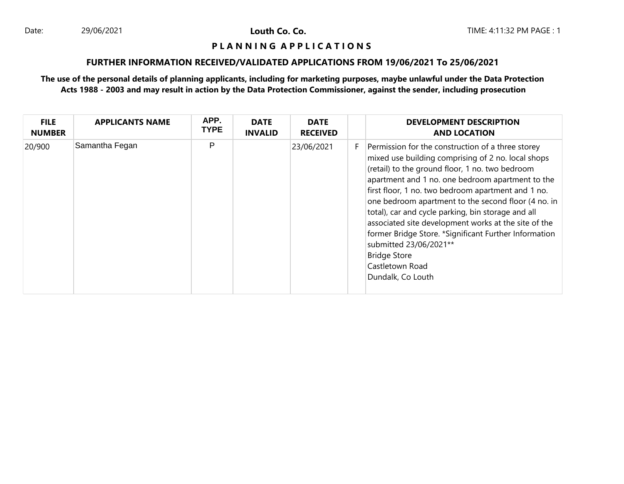#### **P L A N N I N G A P P L I C A T I O N S**

# **FURTHER INFORMATION RECEIVED/VALIDATED APPLICATIONS FROM 19/06/2021 To 25/06/2021**

| <b>FILE</b><br><b>NUMBER</b> | <b>APPLICANTS NAME</b> | APP.<br><b>TYPE</b> | <b>DATE</b><br><b>INVALID</b> | <b>DATE</b><br><b>RECEIVED</b> |    | <b>DEVELOPMENT DESCRIPTION</b><br><b>AND LOCATION</b>                                                                                                                                                                                                                                                                                                                                                                                                                                                                                                                                       |
|------------------------------|------------------------|---------------------|-------------------------------|--------------------------------|----|---------------------------------------------------------------------------------------------------------------------------------------------------------------------------------------------------------------------------------------------------------------------------------------------------------------------------------------------------------------------------------------------------------------------------------------------------------------------------------------------------------------------------------------------------------------------------------------------|
| 20/900                       | Samantha Fegan         | P                   |                               | 23/06/2021                     | F. | Permission for the construction of a three storey<br>mixed use building comprising of 2 no. local shops<br>(retail) to the ground floor, 1 no. two bedroom<br>apartment and 1 no. one bedroom apartment to the<br>first floor, 1 no. two bedroom apartment and 1 no.<br>one bedroom apartment to the second floor (4 no. in<br>total), car and cycle parking, bin storage and all<br>associated site development works at the site of the<br>former Bridge Store. *Significant Further Information<br>submitted 23/06/2021**<br><b>Bridge Store</b><br>Castletown Road<br>Dundalk, Co Louth |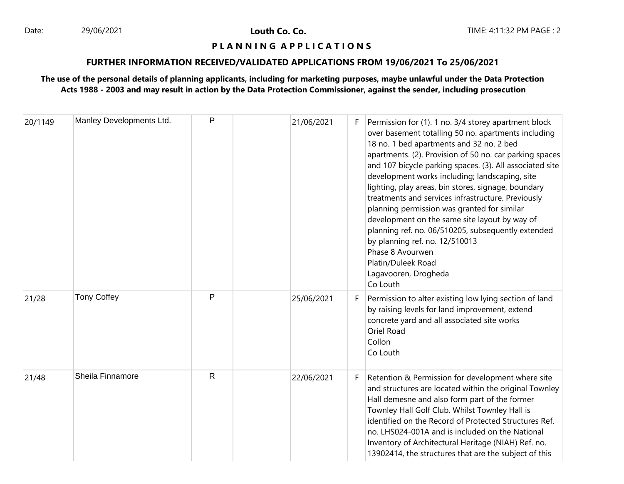#### **P L A N N I N G A P P L I C A T I O N S**

# **FURTHER INFORMATION RECEIVED/VALIDATED APPLICATIONS FROM 19/06/2021 To 25/06/2021**

| 20/1149 | Manley Developments Ltd. | P            | 21/06/2021 | F  | Permission for (1). 1 no. 3/4 storey apartment block<br>over basement totalling 50 no. apartments including<br>18 no. 1 bed apartments and 32 no. 2 bed<br>apartments. (2). Provision of 50 no. car parking spaces<br>and 107 bicycle parking spaces. (3). All associated site<br>development works including; landscaping, site<br>lighting, play areas, bin stores, signage, boundary<br>treatments and services infrastructure. Previously<br>planning permission was granted for similar<br>development on the same site layout by way of<br>planning ref. no. 06/510205, subsequently extended<br>by planning ref. no. 12/510013<br>Phase 8 Avourwen<br>Platin/Duleek Road<br>Lagavooren, Drogheda<br>Co Louth |
|---------|--------------------------|--------------|------------|----|---------------------------------------------------------------------------------------------------------------------------------------------------------------------------------------------------------------------------------------------------------------------------------------------------------------------------------------------------------------------------------------------------------------------------------------------------------------------------------------------------------------------------------------------------------------------------------------------------------------------------------------------------------------------------------------------------------------------|
| 21/28   | <b>Tony Coffey</b>       | P            | 25/06/2021 | F. | Permission to alter existing low lying section of land<br>by raising levels for land improvement, extend<br>concrete yard and all associated site works<br>Oriel Road<br>Collon<br>Co Louth                                                                                                                                                                                                                                                                                                                                                                                                                                                                                                                         |
| 21/48   | Sheila Finnamore         | $\mathsf{R}$ | 22/06/2021 | F  | Retention & Permission for development where site<br>and structures are located within the original Townley<br>Hall demesne and also form part of the former<br>Townley Hall Golf Club. Whilst Townley Hall is<br>identified on the Record of Protected Structures Ref.<br>no. LHS024-001A and is included on the National<br>Inventory of Architectural Heritage (NIAH) Ref. no.<br>13902414, the structures that are the subject of this                                                                                                                                                                                                                                                                          |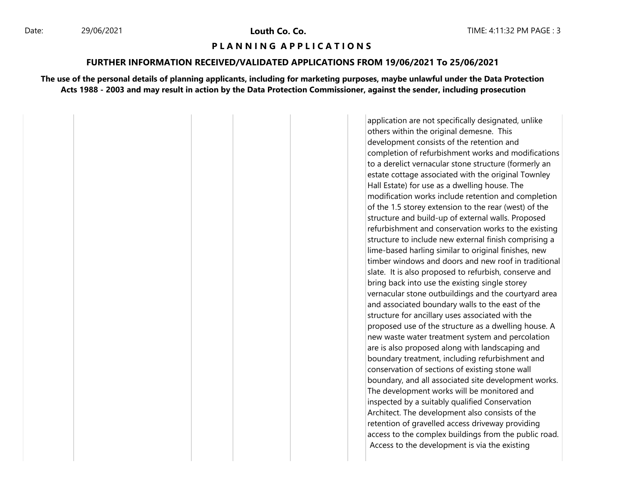#### **P L A N N I N G A P P L I C A T I O N S**

#### **FURTHER INFORMATION RECEIVED/VALIDATED APPLICATIONS FROM 19/06/2021 To 25/06/2021**

**The use of the personal details of planning applicants, including for marketing purposes, maybe unlawful under the Data Protection Acts 1988 - 2003 and may result in action by the Data Protection Commissioner, against the sender, including prosecution**

> application are not specifically designated, unlike others within the original demesne. This development consists of the retention and completion of refurbishment works and modifications to a derelict vernacular stone structure (formerly an estate cottage associated with the original Townley Hall Estate) for use as a dwelling house. The modification works include retention and completion of the 1.5 storey extension to the rear (west) of the structure and build-up of external walls. Proposed refurbishment and conservation works to the existing structure to include new external finish comprising a lime-based harling similar to original finishes, new timber windows and doors and new roof in traditional slate. It is also proposed to refurbish, conserve and bring back into use the existing single storey vernacular stone outbuildings and the courtyard area and associated boundary walls to the east of the structure for ancillary uses associated with the proposed use of the structure as a dwelling house. A new waste water treatment system and percolation are is also proposed along with landscaping and boundary treatment, including refurbishment and conservation of sections of existing stone wall boundary, and all associated site development works. The development works will be monitored and inspected by a suitably qualified Conservation Architect. The development also consists of the retention of gravelled access driveway providing access to the complex buildings from the public road. Access to the development is via the existing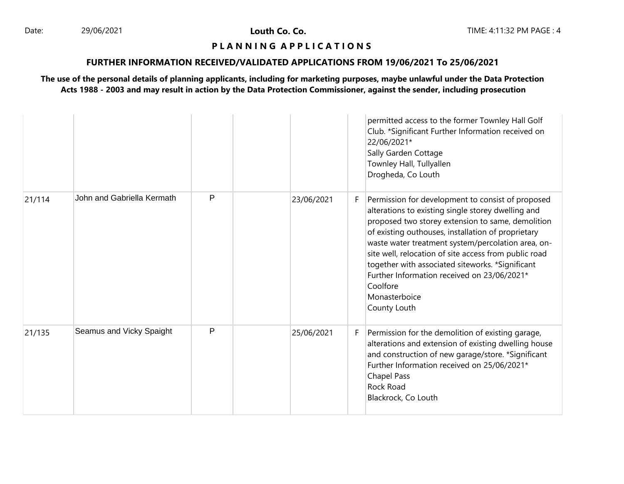# **P L A N N I N G A P P L I C A T I O N S**

# **FURTHER INFORMATION RECEIVED/VALIDATED APPLICATIONS FROM 19/06/2021 To 25/06/2021**

|        |                            |   |            |    | permitted access to the former Townley Hall Golf<br>Club. *Significant Further Information received on<br>22/06/2021*<br>Sally Garden Cottage<br>Townley Hall, Tullyallen<br>Drogheda, Co Louth                                                                                                                                                                                                                                                                                   |
|--------|----------------------------|---|------------|----|-----------------------------------------------------------------------------------------------------------------------------------------------------------------------------------------------------------------------------------------------------------------------------------------------------------------------------------------------------------------------------------------------------------------------------------------------------------------------------------|
| 21/114 | John and Gabriella Kermath | P | 23/06/2021 | F  | Permission for development to consist of proposed<br>alterations to existing single storey dwelling and<br>proposed two storey extension to same, demolition<br>of existing outhouses, installation of proprietary<br>waste water treatment system/percolation area, on-<br>site well, relocation of site access from public road<br>together with associated siteworks. *Significant<br>Further Information received on 23/06/2021*<br>Coolfore<br>Monasterboice<br>County Louth |
| 21/135 | Seamus and Vicky Spaight   | P | 25/06/2021 | F. | Permission for the demolition of existing garage,<br>alterations and extension of existing dwelling house<br>and construction of new garage/store. *Significant<br>Further Information received on 25/06/2021*<br><b>Chapel Pass</b><br><b>Rock Road</b><br>Blackrock, Co Louth                                                                                                                                                                                                   |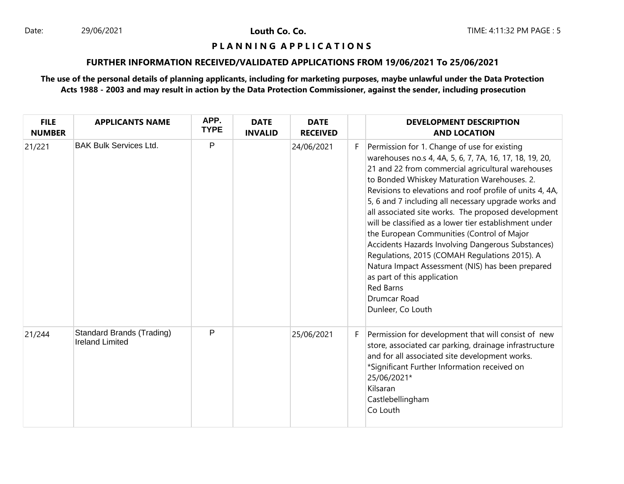#### **P L A N N I N G A P P L I C A T I O N S**

# **FURTHER INFORMATION RECEIVED/VALIDATED APPLICATIONS FROM 19/06/2021 To 25/06/2021**

| <b>FILE</b><br><b>NUMBER</b> | <b>APPLICANTS NAME</b>                                     | APP.<br><b>TYPE</b> | <b>DATE</b><br><b>INVALID</b> | <b>DATE</b><br><b>RECEIVED</b> |   | <b>DEVELOPMENT DESCRIPTION</b><br><b>AND LOCATION</b>                                                                                                                                                                                                                                                                                                                                                                                                                                                                                                                                                                                                                                                                                            |
|------------------------------|------------------------------------------------------------|---------------------|-------------------------------|--------------------------------|---|--------------------------------------------------------------------------------------------------------------------------------------------------------------------------------------------------------------------------------------------------------------------------------------------------------------------------------------------------------------------------------------------------------------------------------------------------------------------------------------------------------------------------------------------------------------------------------------------------------------------------------------------------------------------------------------------------------------------------------------------------|
| 21/221                       | <b>BAK Bulk Services Ltd.</b>                              | P                   |                               | 24/06/2021                     | F | Permission for 1. Change of use for existing<br>warehouses no.s 4, 4A, 5, 6, 7, 7A, 16, 17, 18, 19, 20,<br>21 and 22 from commercial agricultural warehouses<br>to Bonded Whiskey Maturation Warehouses. 2.<br>Revisions to elevations and roof profile of units 4, 4A,<br>5, 6 and 7 including all necessary upgrade works and<br>all associated site works. The proposed development<br>will be classified as a lower tier establishment under<br>the European Communities (Control of Major<br>Accidents Hazards Involving Dangerous Substances)<br>Regulations, 2015 (COMAH Regulations 2015). A<br>Natura Impact Assessment (NIS) has been prepared<br>as part of this application<br><b>Red Barns</b><br>Drumcar Road<br>Dunleer, Co Louth |
| 21/244                       | <b>Standard Brands (Trading)</b><br><b>Ireland Limited</b> | $\mathsf{P}$        |                               | 25/06/2021                     | F | Permission for development that will consist of new<br>store, associated car parking, drainage infrastructure<br>and for all associated site development works.<br>*Significant Further Information received on<br>25/06/2021*<br>Kilsaran<br>Castlebellingham<br>Co Louth                                                                                                                                                                                                                                                                                                                                                                                                                                                                       |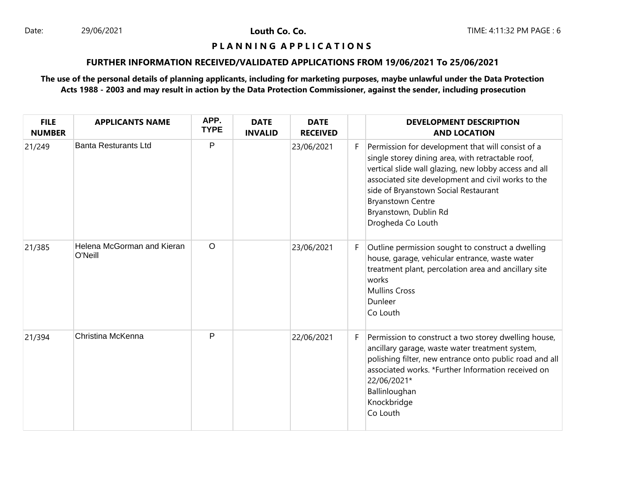#### **P L A N N I N G A P P L I C A T I O N S**

# **FURTHER INFORMATION RECEIVED/VALIDATED APPLICATIONS FROM 19/06/2021 To 25/06/2021**

| <b>FILE</b><br><b>NUMBER</b> | <b>APPLICANTS NAME</b>                | APP.<br><b>TYPE</b> | <b>DATE</b><br><b>INVALID</b> | <b>DATE</b><br><b>RECEIVED</b> |    | <b>DEVELOPMENT DESCRIPTION</b><br><b>AND LOCATION</b>                                                                                                                                                                                                                                                                                   |
|------------------------------|---------------------------------------|---------------------|-------------------------------|--------------------------------|----|-----------------------------------------------------------------------------------------------------------------------------------------------------------------------------------------------------------------------------------------------------------------------------------------------------------------------------------------|
| 21/249                       | <b>Banta Resturants Ltd</b>           | P                   |                               | 23/06/2021                     | F. | Permission for development that will consist of a<br>single storey dining area, with retractable roof,<br>vertical slide wall glazing, new lobby access and all<br>associated site development and civil works to the<br>side of Bryanstown Social Restaurant<br><b>Bryanstown Centre</b><br>Bryanstown, Dublin Rd<br>Drogheda Co Louth |
| 21/385                       | Helena McGorman and Kieran<br>O'Neill | $\circ$             |                               | 23/06/2021                     | F. | Outline permission sought to construct a dwelling<br>house, garage, vehicular entrance, waste water<br>treatment plant, percolation area and ancillary site<br>works<br><b>Mullins Cross</b><br>Dunleer<br>Co Louth                                                                                                                     |
| 21/394                       | Christina McKenna                     | P                   |                               | 22/06/2021                     | F. | Permission to construct a two storey dwelling house,<br>ancillary garage, waste water treatment system,<br>polishing filter, new entrance onto public road and all<br>associated works. *Further Information received on<br>22/06/2021*<br>Ballinloughan<br>Knockbridge<br>Co Louth                                                     |